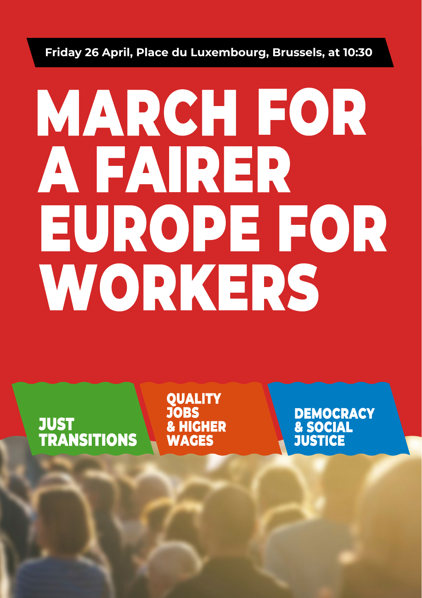## Friday 26 April, Place du Luxembourg, Brussels, at 10:30

## **MARCH FOR** A FAIRER EUROPE FOR WORKERS

JUST<br>TRANSITIONS

**OUALITY JOBS & HIGHER WAGES** 

**DEMOCRACY** & SOCIAL<br>JUSTICE